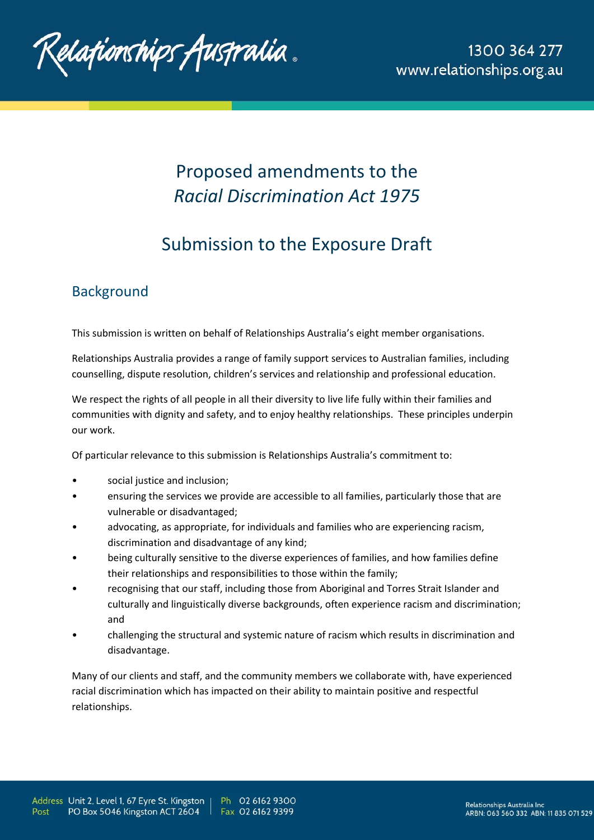

# Proposed amendments to the *Racial Discrimination Act 1975*

# Submission to the Exposure Draft

## **Background**

This submission is written on behalf of Relationships Australia's eight member organisations.

Relationships Australia provides a range of family support services to Australian families, including counselling, dispute resolution, children's services and relationship and professional education.

We respect the rights of all people in all their diversity to live life fully within their families and communities with dignity and safety, and to enjoy healthy relationships. These principles underpin our work.

Of particular relevance to this submission is Relationships Australia's commitment to:

- social justice and inclusion;
- ensuring the services we provide are accessible to all families, particularly those that are vulnerable or disadvantaged;
- advocating, as appropriate, for individuals and families who are experiencing racism, discrimination and disadvantage of any kind;
- being culturally sensitive to the diverse experiences of families, and how families define their relationships and responsibilities to those within the family;
- recognising that our staff, including those from Aboriginal and Torres Strait Islander and culturally and linguistically diverse backgrounds, often experience racism and discrimination; and
- challenging the structural and systemic nature of racism which results in discrimination and disadvantage.

Many of our clients and staff, and the community members we collaborate with, have experienced racial discrimination which has impacted on their ability to maintain positive and respectful relationships.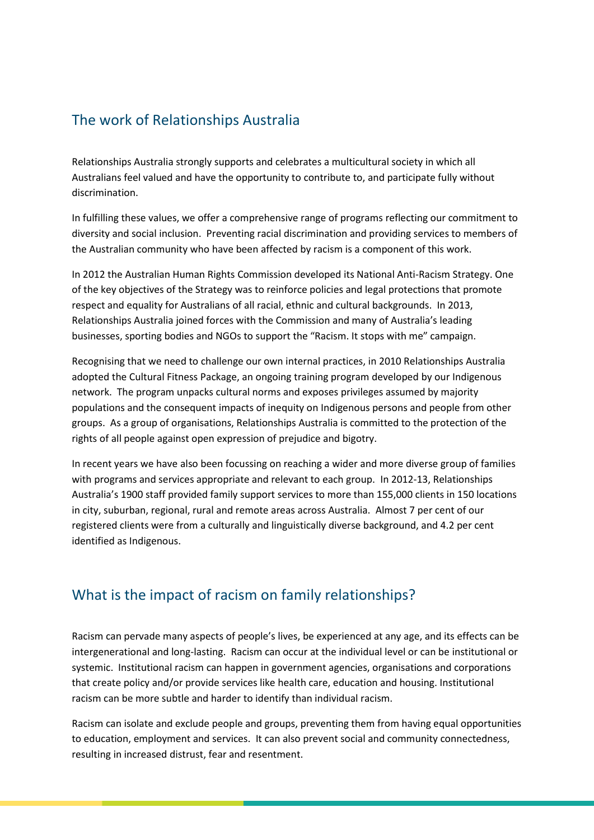# The work of Relationships Australia

Relationships Australia strongly supports and celebrates a multicultural society in which all Australians feel valued and have the opportunity to contribute to, and participate fully without discrimination.

In fulfilling these values, we offer a comprehensive range of programs reflecting our commitment to diversity and social inclusion. Preventing racial discrimination and providing services to members of the Australian community who have been affected by racism is a component of this work.

In 2012 the Australian Human Rights Commission developed its National Anti-Racism Strategy. One of the key objectives of the Strategy was to reinforce policies and legal protections that promote respect and equality for Australians of all racial, ethnic and cultural backgrounds. In 2013, Relationships Australia joined forces with the Commission and many of Australia's leading businesses, sporting bodies and NGOs to support the "Racism. It stops with me" campaign.

Recognising that we need to challenge our own internal practices, in 2010 Relationships Australia adopted the Cultural Fitness Package, an ongoing training program developed by our Indigenous network. The program unpacks cultural norms and exposes privileges assumed by majority populations and the consequent impacts of inequity on Indigenous persons and people from other groups. As a group of organisations, Relationships Australia is committed to the protection of the rights of all people against open expression of prejudice and bigotry.

In recent years we have also been focussing on reaching a wider and more diverse group of families with programs and services appropriate and relevant to each group. In 2012-13, Relationships Australia's 1900 staff provided family support services to more than 155,000 clients in 150 locations in city, suburban, regional, rural and remote areas across Australia. Almost 7 per cent of our registered clients were from a culturally and linguistically diverse background, and 4.2 per cent identified as Indigenous.

## What is the impact of racism on family relationships?

Racism can pervade many aspects of people's lives, be experienced at any age, and its effects can be intergenerational and long-lasting. Racism can occur at the individual level or can be institutional or systemic. Institutional racism can happen in government agencies, organisations and corporations that create policy and/or provide services like health care, education and housing. Institutional racism can be more subtle and harder to identify than individual racism.

Racism can isolate and exclude people and groups, preventing them from having equal opportunities to education, employment and services. It can also prevent social and community connectedness, resulting in increased distrust, fear and resentment.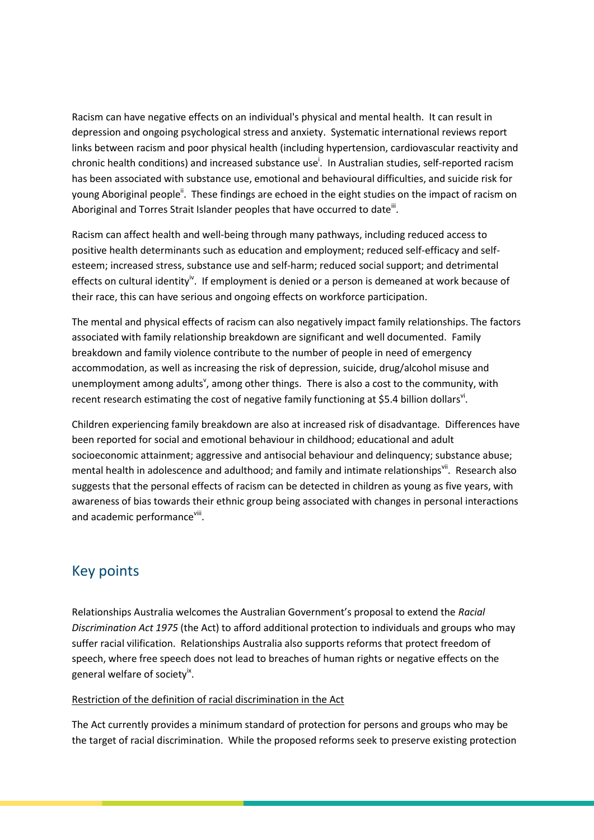Racism can have negative effects on an individual's physical and mental health. It can result in depression and ongoing psychological stress and anxiety. Systematic international reviews report links between racism and poor physical health (including hypertension, cardiovascular reactivity and chronic health conditions) and increased substance use<sup>i</sup>. In Australian studies, self-reported racism has been associated with substance use, emotional and behavioural difficulties, and suicide risk for young Aboriginal people<sup>ii</sup>. These findings are echoed in the eight studies on the impact of racism on Aboriginal and Torres Strait Islander peoples that have occurred to date $^{\text{iii}}$ .

Racism can affect health and well-being through many pathways, including reduced access to positive health determinants such as education and employment; reduced self-efficacy and selfesteem; increased stress, substance use and self-harm; reduced social support; and detrimental effects on cultural identity<sup>iv</sup>. If employment is denied or a person is demeaned at work because of their race, this can have serious and ongoing effects on workforce participation.

The mental and physical effects of racism can also negatively impact family relationships. The factors associated with family relationship breakdown are significant and well documented. Family breakdown and family violence contribute to the number of people in need of emergency accommodation, as well as increasing the risk of depression, suicide, drug/alcohol misuse and unemployment among adults<sup>v</sup>, among other things. There is also a cost to the community, with recent research estimating the cost of negative family functioning at \$5.4 billion dollars<sup>vi</sup>.

Children experiencing family breakdown are also at increased risk of disadvantage. Differences have been reported for social and emotional behaviour in childhood; educational and adult socioeconomic attainment; aggressive and antisocial behaviour and delinquency; substance abuse; mental health in adolescence and adulthood; and family and intimate relationshipsvil. Research also suggests that the personal effects of racism can be detected in children as young as five years, with awareness of bias towards their ethnic group being associated with changes in personal interactions and academic performance<sup>viii</sup>.

## Key points

Relationships Australia welcomes the Australian Government's proposal to extend the *Racial Discrimination Act 1975* (the Act) to afford additional protection to individuals and groups who may suffer racial vilification. Relationships Australia also supports reforms that protect freedom of speech, where free speech does not lead to breaches of human rights or negative effects on the general welfare of society<sup>ix</sup>.

## Restriction of the definition of racial discrimination in the Act

The Act currently provides a minimum standard of protection for persons and groups who may be the target of racial discrimination. While the proposed reforms seek to preserve existing protection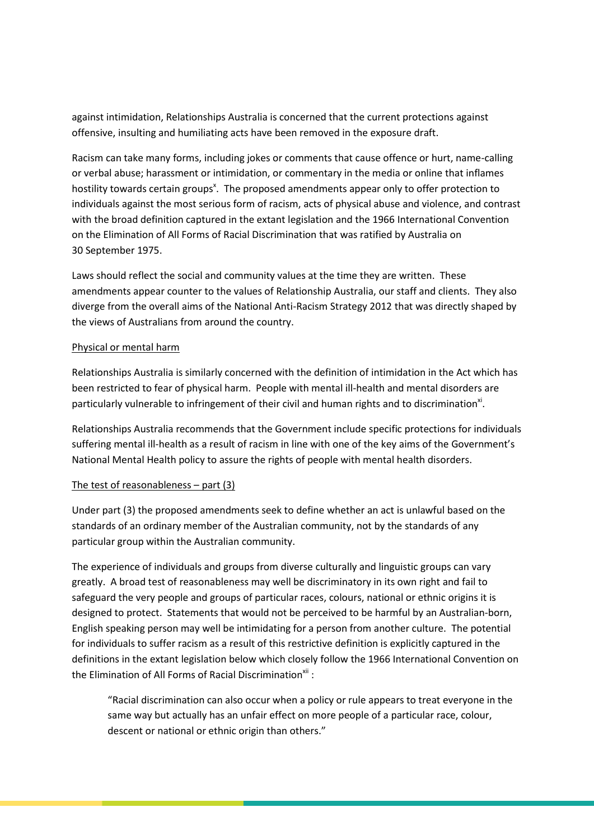against intimidation, Relationships Australia is concerned that the current protections against offensive, insulting and humiliating acts have been removed in the exposure draft.

Racism can take many forms, including jokes or comments that cause offence or hurt, name-calling or verbal abuse; harassment or intimidation, or commentary in the media or online that inflames hostility towards certain groups<sup>x</sup>. The proposed amendments appear only to offer protection to individuals against the most serious form of racism, acts of physical abuse and violence, and contrast with the broad definition captured in the extant legislation and the 1966 International Convention on the Elimination of All Forms of Racial Discrimination that was ratified by Australia on 30 September 1975.

Laws should reflect the social and community values at the time they are written. These amendments appear counter to the values of Relationship Australia, our staff and clients. They also diverge from the overall aims of the National Anti-Racism Strategy 2012 that was directly shaped by the views of Australians from around the country.

### Physical or mental harm

Relationships Australia is similarly concerned with the definition of intimidation in the Act which has been restricted to fear of physical harm. People with mental ill-health and mental disorders are particularly vulnerable to infringement of their civil and human rights and to discrimination<sup>xi</sup>.

Relationships Australia recommends that the Government include specific protections for individuals suffering mental ill-health as a result of racism in line with one of the key aims of the Government's National Mental Health policy to assure the rights of people with mental health disorders.

### The test of reasonableness  $-$  part  $(3)$

Under part (3) the proposed amendments seek to define whether an act is unlawful based on the standards of an ordinary member of the Australian community, not by the standards of any particular group within the Australian community.

The experience of individuals and groups from diverse culturally and linguistic groups can vary greatly. A broad test of reasonableness may well be discriminatory in its own right and fail to safeguard the very people and groups of particular races, colours, national or ethnic origins it is designed to protect. Statements that would not be perceived to be harmful by an Australian-born, English speaking person may well be intimidating for a person from another culture. The potential for individuals to suffer racism as a result of this restrictive definition is explicitly captured in the definitions in the extant legislation below which closely follow the 1966 International Convention on the Elimination of All Forms of Racial Discrimination $^{xii}$  :

"Racial discrimination can also occur when a policy or rule appears to treat everyone in the same way but actually has an unfair effect on more people of a particular race, colour, descent or national or ethnic origin than others."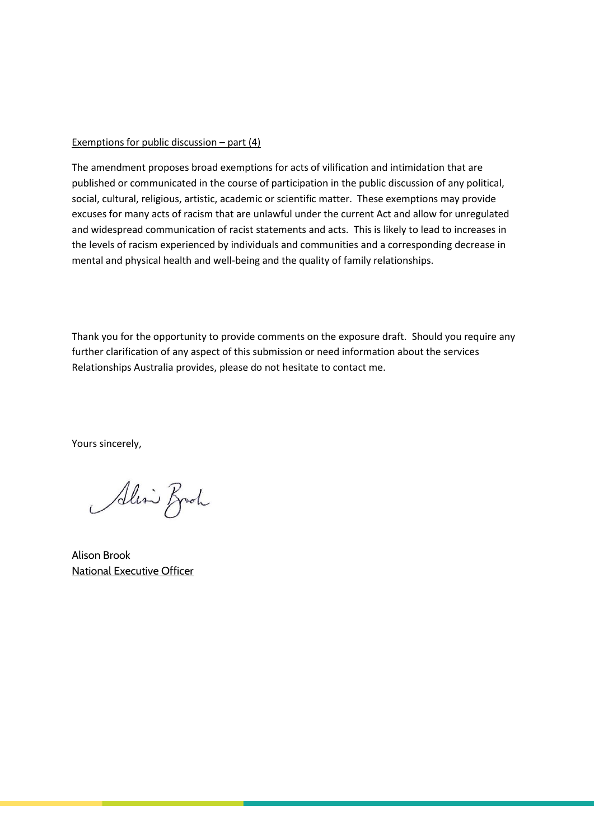#### Exemptions for public discussion – part (4)

The amendment proposes broad exemptions for acts of vilification and intimidation that are published or communicated in the course of participation in the public discussion of any political, social, cultural, religious, artistic, academic or scientific matter. These exemptions may provide excuses for many acts of racism that are unlawful under the current Act and allow for unregulated and widespread communication of racist statements and acts. This is likely to lead to increases in the levels of racism experienced by individuals and communities and a corresponding decrease in mental and physical health and well-being and the quality of family relationships.

Thank you for the opportunity to provide comments on the exposure draft. Should you require any further clarification of any aspect of this submission or need information about the services Relationships Australia provides, please do not hesitate to contact me.

Yours sincerely,

Alin Broch

Alison Brook National Executive Officer